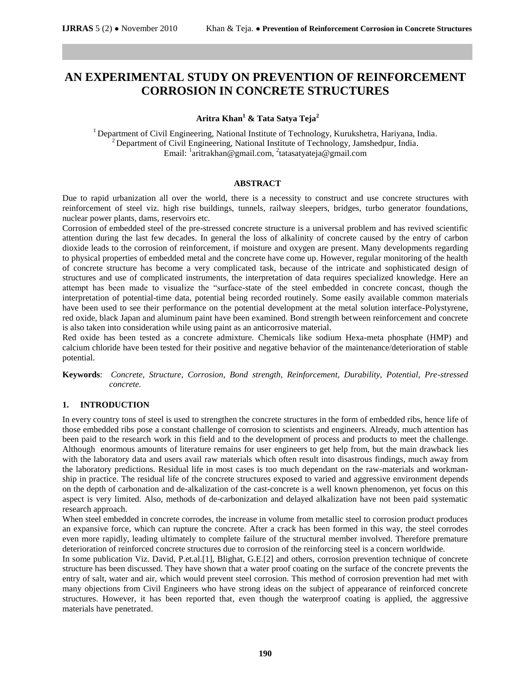# **AN EXPERIMENTAL STUDY ON PREVENTION OF REINFORCEMENT CORROSION IN CONCRETE STRUCTURES**

# **Aritra Khan<sup>1</sup> & Tata Satya Teja<sup>2</sup>**

<sup>1</sup> Department of Civil Engineering, National Institute of Technology, Kurukshetra, Hariyana, India.  $2^2$  Department of Civil Engineering, National Institute of Technology, Jamshedpur, India. Email: <sup>1</sup>[aritrakhan@gmail.com,](mailto:aritrakhan@gmail.com) <sup>2</sup>tatasatyateja@gmail.com

#### **ABSTRACT**

Due to rapid urbanization all over the world, there is a necessity to construct and use concrete structures with reinforcement of steel viz. high rise buildings, tunnels, railway sleepers, bridges, turbo generator foundations, nuclear power plants, dams, reservoirs etc.

Corrosion of embedded steel of the pre-stressed concrete structure is a universal problem and has revived scientific attention during the last few decades. In general the loss of alkalinity of concrete caused by the entry of carbon dioxide leads to the corrosion of reinforcement, if moisture and oxygen are present. Many developments regarding to physical properties of embedded metal and the concrete have come up. However, regular monitoring of the health of concrete structure has become a very complicated task, because of the intricate and sophisticated design of structures and use of complicated instruments, the interpretation of data requires specialized knowledge. Here an attempt has been made to visualize the "surface-state of the steel embedded in concrete concast, though the interpretation of potential-time data, potential being recorded routinely. Some easily available common materials have been used to see their performance on the potential development at the metal solution interface-Polystyrene, red oxide, black Japan and aluminum paint have been examined. Bond strength between reinforcement and concrete is also taken into consideration while using paint as an anticorrosive material.

Red oxide has been tested as a concrete admixture. Chemicals like sodium Hexa-meta phosphate (HMP) and calcium chloride have been tested for their positive and negative behavior of the maintenance/deterioration of stable potential.

**Keywords**: *Concrete, Structure, Corrosion, Bond strength, Reinforcement, Durability, Potential, Pre-stressed concrete.* 

#### **1. INTRODUCTION**

In every country tons of steel is used to strengthen the concrete structures in the form of embedded ribs, hence life of those embedded ribs pose a constant challenge of corrosion to scientists and engineers. Already, much attention has been paid to the research work in this field and to the development of process and products to meet the challenge. Although enormous amounts of literature remains for user engineers to get help from, but the main drawback lies with the laboratory data and users avail raw materials which often result into disastrous findings, much away from the laboratory predictions. Residual life in most cases is too much dependant on the raw-materials and workmanship in practice. The residual life of the concrete structures exposed to varied and aggressive environment depends on the depth of carbonation and de-alkalization of the cast-concrete is a well known phenomenon, yet focus on this aspect is very limited. Also, methods of de-carbonization and delayed alkalization have not been paid systematic research approach.

When steel embedded in concrete corrodes, the increase in volume from metallic steel to corrosion product produces an expansive force, which can rupture the concrete. After a crack has been formed in this way, the steel corrodes even more rapidly, leading ultimately to complete failure of the structural member involved. Therefore premature deterioration of reinforced concrete structures due to corrosion of the reinforcing steel is a concern worldwide.

In some publication Viz. David, P.et.al.[1], Blighat, G.E.[2] and others, corrosion prevention technique of concrete structure has been discussed. They have shown that a water proof coating on the surface of the concrete prevents the entry of salt, water and air, which would prevent steel corrosion. This method of corrosion prevention had met with many objections from Civil Engineers who have strong ideas on the subject of appearance of reinforced concrete structures. However, it has been reported that, even though the waterproof coating is applied, the aggressive materials have penetrated.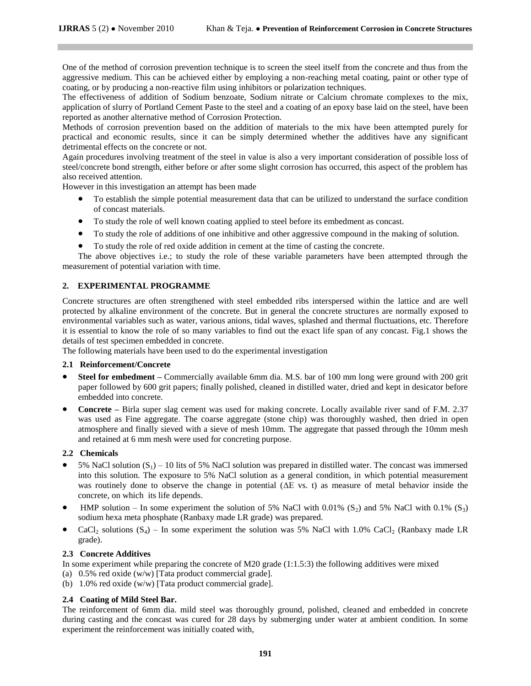One of the method of corrosion prevention technique is to screen the steel itself from the concrete and thus from the aggressive medium. This can be achieved either by employing a non-reaching metal coating, paint or other type of coating, or by producing a non-reactive film using inhibitors or polarization techniques.

The effectiveness of addition of Sodium benzoate, Sodium nitrate or Calcium chromate complexes to the mix, application of slurry of Portland Cement Paste to the steel and a coating of an epoxy base laid on the steel, have been reported as another alternative method of Corrosion Protection.

Methods of corrosion prevention based on the addition of materials to the mix have been attempted purely for practical and economic results, since it can be simply determined whether the additives have any significant detrimental effects on the concrete or not.

Again procedures involving treatment of the steel in value is also a very important consideration of possible loss of steel/concrete bond strength, either before or after some slight corrosion has occurred, this aspect of the problem has also received attention.

However in this investigation an attempt has been made

- To establish the simple potential measurement data that can be utilized to understand the surface condition of concast materials.
- To study the role of well known coating applied to steel before its embedment as concast.
- To study the role of additions of one inhibitive and other aggressive compound in the making of solution.
- To study the role of red oxide addition in cement at the time of casting the concrete.

The above objectives i.e.; to study the role of these variable parameters have been attempted through the measurement of potential variation with time.

# **2. EXPERIMENTAL PROGRAMME**

Concrete structures are often strengthened with steel embedded ribs interspersed within the lattice and are well protected by alkaline environment of the concrete. But in general the concrete structures are normally exposed to environmental variables such as water, various anions, tidal waves, splashed and thermal fluctuations, etc. Therefore it is essential to know the role of so many variables to find out the exact life span of any concast. Fig.1 shows the details of test specimen embedded in concrete.

The following materials have been used to do the experimental investigation

#### **2.1 Reinforcement/Concrete**

- **Steel for embedment –** Commercially available 6mm dia. M.S. bar of 100 mm long were ground with 200 grit paper followed by 600 grit papers; finally polished, cleaned in distilled water, dried and kept in desicator before embedded into concrete.
- **Concrete –** Birla super slag cement was used for making concrete. Locally available river sand of F.M. 2.37 was used as Fine aggregate. The coarse aggregate (stone chip) was thoroughly washed, then dried in open atmosphere and finally sieved with a sieve of mesh 10mm. The aggregate that passed through the 10mm mesh and retained at 6 mm mesh were used for concreting purpose.

#### **2.2 Chemicals**

- 5% NaCl solution  $(S_1)$  10 lits of 5% NaCl solution was prepared in distilled water. The concast was immersed into this solution. The exposure to 5% NaCl solution as a general condition, in which potential measurement was routinely done to observe the change in potential (ΔE vs. t) as measure of metal behavior inside the concrete, on which its life depends.
- HMP solution In some experiment the solution of 5% NaCl with 0.01% (S<sub>2</sub>) and 5% NaCl with 0.1% (S<sub>3</sub>) sodium hexa meta phosphate (Ranbaxy made LR grade) was prepared.
- CaCl<sub>2</sub> solutions  $(S_4)$  In some experiment the solution was 5% NaCl with 1.0% CaCl<sub>2</sub> (Ranbaxy made LR grade).

#### **2.3 Concrete Additives**

In some experiment while preparing the concrete of M20 grade (1:1.5:3) the following additives were mixed

- (a) 0.5% red oxide (w/w) [Tata product commercial grade].
- (b) 1.0% red oxide (w/w) [Tata product commercial grade].

# **2.4 Coating of Mild Steel Bar.**

The reinforcement of 6mm dia. mild steel was thoroughly ground, polished, cleaned and embedded in concrete during casting and the concast was cured for 28 days by submerging under water at ambient condition. In some experiment the reinforcement was initially coated with,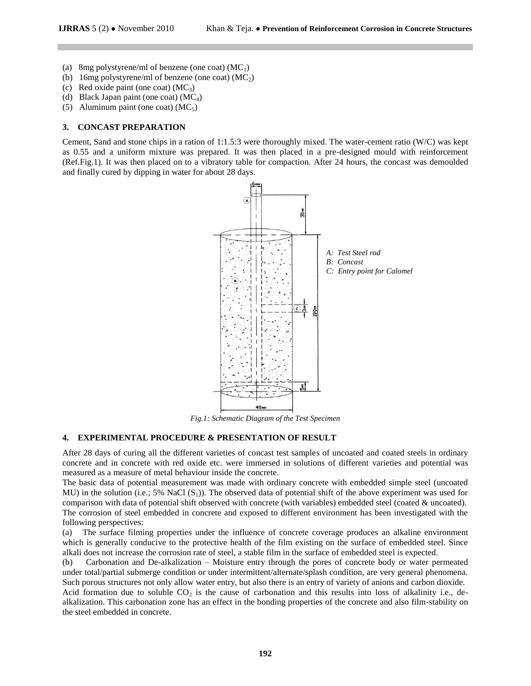- (a) 8mg polystyrene/ml of benzene (one coat)  $(MC_1)$
- (b) 16mg polystyrene/ml of benzene (one coat)  $(MC_2)$
- (c) Red oxide paint (one coat)  $(MC_3)$
- (d) Black Japan paint (one coat)  $(MC_4)$
- (5) Aluminum paint (one coat)  $(MC_5)$

#### **3. CONCAST PREPARATION**

Cement, Sand and stone chips in a ration of 1:1.5:3 were thoroughly mixed. The water-cement ratio (W/C) was kept as 0.55 and a uniform mixture was prepared. It was then placed in a pre-designed mould with reinforcement (Ref.Fig.1). It was then placed on to a vibratory table for compaction. After 24 hours, the concast was demoulded and finally cured by dipping in water for about 28 days.



*Fig.1: Schematic Diagram of the Test Specimen* 

#### **4. EXPERIMENTAL PROCEDURE & PRESENTATION OF RESULT**

After 28 days of curing all the different varieties of concast test samples of uncoated and coated steels in ordinary concrete and in concrete with red oxide etc. were immersed in solutions of different varieties and potential was measured as a measure of metal behaviour inside the concrete.

The basic data of potential measurement was made with ordinary concrete with embedded simple steel (uncoated MU) in the solution (i.e.; 5% NaCl  $(S_1)$ ). The observed data of potential shift of the above experiment was used for comparison with data of potential shift observed with concrete (with variables) embedded steel (coated & uncoated). The corrosion of steel embedded in concrete and exposed to different environment has been investigated with the following perspectives:

(a) The surface filming properties under the influence of concrete coverage produces an alkaline environment which is generally conducive to the protective health of the film existing on the surface of embedded steel. Since alkali does not increase the corrosion rate of steel, a stable film in the surface of embedded steel is expected.

(b) Carbonation and De-alkalization – Moisture entry through the pores of concrete body or water permeated under total/partial submerge condition or under intermittent/alternate/splash condition, are very general phenomena. Such porous structures not only allow water entry, but also there is an entry of variety of anions and carbon dioxide.

Acid formation due to soluble  $CO<sub>2</sub>$  is the cause of carbonation and this results into loss of alkalinity i.e., dealkalization. This carbonation zone has an effect in the bonding properties of the concrete and also film-stability on the steel embedded in concrete.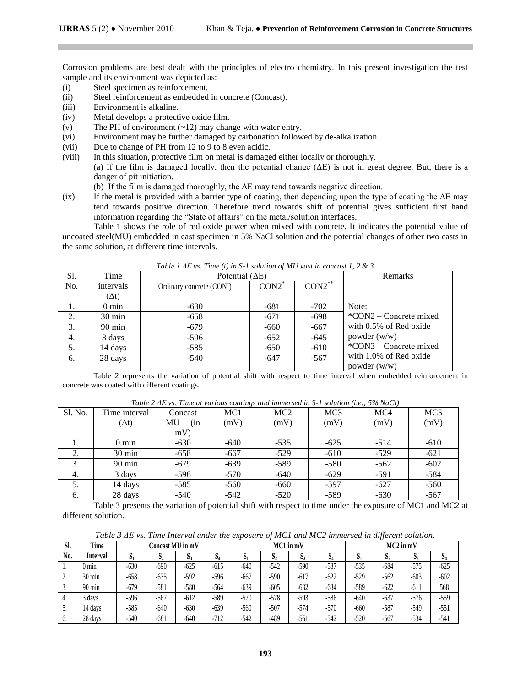Corrosion problems are best dealt with the principles of electro chemistry. In this present investigation the test sample and its environment was depicted as:

- (i) Steel specimen as reinforcement.
- (ii) Steel reinforcement as embedded in concrete (Concast).
- (iii) Environment is alkaline.
- (iv) Metal develops a protective oxide film.
- (v) The PH of environment (~12) may change with water entry.
- (vi) Environment may be further damaged by carbonation followed by de-alkalization.
- (vii) Due to change of PH from 12 to 9 to 8 even acidic.
- (viii) In this situation, protective film on metal is damaged either locally or thoroughly. (a) If the film is damaged locally, then the potential change  $(\Delta E)$  is not in great degree. But, there is a danger of pit initiation.
	- (b) If the film is damaged thoroughly, the ΔE may tend towards negative direction.
- (ix) If the metal is provided with a barrier type of coating, then depending upon the type of coating the  $\Delta E$  may tend towards positive direction. Therefore trend towards shift of potential gives sufficient first hand information regarding the "State of affairs" on the metal/solution interfaces.

Table 1 shows the role of red oxide power when mixed with concrete. It indicates the potential value of uncoated steel(MU) embedded in cast specimen in 5% NaCl solution and the potential changes of other two casts in the same solution, at different time intervals.

| Sl. | Time             | Potential $(\Delta E)$   | Remarks  |           |                            |
|-----|------------------|--------------------------|----------|-----------|----------------------------|
| No. | intervals        | Ordinary concrete (CONI) | $CON2^*$ | $CON2$ ** |                            |
|     | $(\Delta t)$     |                          |          |           |                            |
| 1.  | $0 \text{ min}$  | $-630$                   | $-681$   | $-702$    | Note:                      |
| 2.  | $30 \text{ min}$ | $-658$                   | $-671$   | $-698$    | $^*$ CON2 – Concrete mixed |
| 3.  | $90 \text{ min}$ | $-679$                   | $-660$   | $-667$    | with 0.5% of Red oxide     |
| 4.  | 3 days           | $-596$                   | $-652$   | $-645$    | powder (w/w)               |
| 5.  | 14 days          | $-585$                   | $-650$   | $-610$    | *CON3 – Concrete mixed     |
| 6.  | 28 days          | $-540$                   | -647     | $-567$    | with 1.0% of Red oxide     |
|     |                  |                          |          |           | powder $(w/w)$             |

*Table 1 ΔE vs. Time (t) in S-1 solution of MU vast in concast 1, 2 & 3*

Table 2 represents the variation of potential shift with respect to time interval when embedded reinforcement in concrete was coated with different coatings.

|  |  |  | Table 2 $\Delta E$ vs. Time at various coatings and immersed in S-1 solution (i.e.; 5% NaCl) |  |  |
|--|--|--|----------------------------------------------------------------------------------------------|--|--|
|--|--|--|----------------------------------------------------------------------------------------------|--|--|

| Sl. No. | Time interval    | Concast   | $\sim$<br>MC <sub>1</sub> | MC <sub>2</sub> | MC <sub>3</sub> | MC4    | MC <sub>5</sub> |
|---------|------------------|-----------|---------------------------|-----------------|-----------------|--------|-----------------|
|         | $(\Delta t)$     | MU<br>(in | (mV)                      | (mV)            | (mV)            | (mV)   | (mV)            |
|         |                  | mV        |                           |                 |                 |        |                 |
| 1.      | $0 \text{ min}$  | $-630$    | -640                      | $-535$          | $-625$          | $-514$ | $-610$          |
| 2.      | $30 \text{ min}$ | $-658$    | $-667$                    | $-529$          | $-610$          | $-529$ | $-621$          |
| 3.      | $90 \text{ min}$ | $-679$    | $-639$                    | $-589$          | $-580$          | $-562$ | $-602$          |
| 4.      | 3 days           | $-596$    | $-570$                    | $-640$          | $-629$          | $-591$ | $-584$          |
| 5.      | 14 days          | $-585$    | $-560$                    | $-660$          | $-597$          | $-627$ | $-560$          |
| 6.      | 28 days          | $-540$    | $-542$                    | $-520$          | $-589$          | $-630$ | $-567$          |

Table 3 presents the variation of potential shift with respect to time under the exposure of MC1 and MC2 at different solution.

*Table 3 ΔE vs. Time Interval under the exposure of MC1 and MC2 immersed in different solution.* 

| Sl. | Time             | Concast MU in mV |              |        |        | $MC1$ in $mV$ |                |        | $MC2$ in mV |        |                |        |              |
|-----|------------------|------------------|--------------|--------|--------|---------------|----------------|--------|-------------|--------|----------------|--------|--------------|
| No. | Interval         | ŋ,               | $\mathbf{D}$ | $D_3$  | N.     | D.            | D <sub>2</sub> | D3     | D4          | N1     | $\mathbf{D}_2$ | D,     | $\mathbf{D}$ |
|     | $0 \text{ min}$  | $-630$           | $-690$       | $-625$ | $-615$ | $-640$        | $-542$         | $-590$ | $-587$      | $-535$ | $-684$         | $-575$ | $-625$       |
| ٠.  | $30 \text{ min}$ | $-658$           | $-635$       | -592   | -596   | $-667$        | $-590$         | $-617$ | $-622$      | $-529$ | $-562$         | $-603$ | $-602$       |
|     | $90 \text{ min}$ | $-679$           | $-581$       | $-580$ | $-564$ | $-639$        | $-605$         | $-632$ | $-634$      | $-589$ | $-622$         | $-611$ | 568          |
| 4.  | 3 days           | $-596$           | $-567$       | $-612$ | $-589$ | $-570$        | $-578$         | $-593$ | $-586$      | $-640$ | $-637$         | -576   | $-559$       |
| J.  | 14 days          | $-585$           | $-640$       | $-630$ | $-639$ | $-560$        | $-507$         | $-574$ | $-570$      | $-660$ | -587           | $-549$ | $-551$       |
|     | 28 days          | $-540$           | $-681$       | $-640$ | $-712$ | $-542$        | -489           | $-561$ | $-542$      | $-520$ | $-567$         | $-534$ | $-541$       |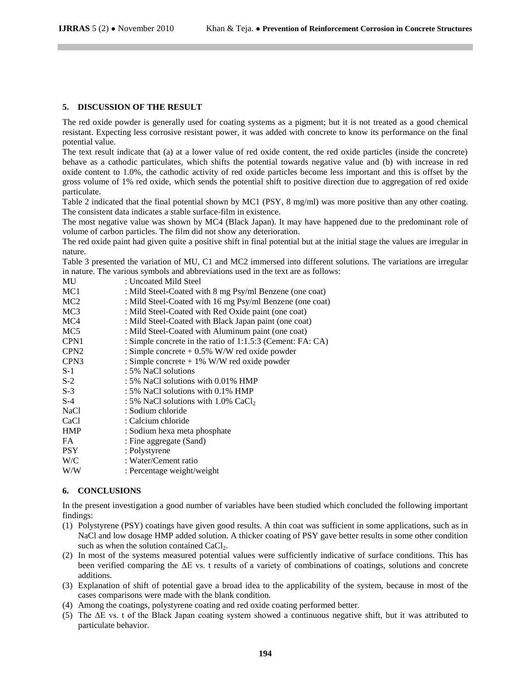#### **5. DISCUSSION OF THE RESULT**

The red oxide powder is generally used for coating systems as a pigment; but it is not treated as a good chemical resistant. Expecting less corrosive resistant power, it was added with concrete to know its performance on the final potential value.

The text result indicate that (a) at a lower value of red oxide content, the red oxide particles (inside the concrete) behave as a cathodic particulates, which shifts the potential towards negative value and (b) with increase in red oxide content to 1.0%, the cathodic activity of red oxide particles become less important and this is offset by the gross volume of 1% red oxide, which sends the potential shift to positive direction due to aggregation of red oxide particulate.

Table 2 indicated that the final potential shown by MC1 (PSY, 8 mg/ml) was more positive than any other coating. The consistent data indicates a stable surface-film in existence.

The most negative value was shown by MC4 (Black Japan). It may have happened due to the predominant role of volume of carbon particles. The film did not show any deterioration.

The red oxide paint had given quite a positive shift in final potential but at the initial stage the values are irregular in nature.

Table 3 presented the variation of MU, C1 and MC2 immersed into different solutions. The variations are irregular in nature. The various symbols and abbreviations used in the text are as follows:

| MU               | : Uncoated Mild Steel                                      |
|------------------|------------------------------------------------------------|
| MC <sub>1</sub>  | : Mild Steel-Coated with 8 mg Psy/ml Benzene (one coat)    |
| MC <sub>2</sub>  | : Mild Steel-Coated with 16 mg Psy/ml Benzene (one coat)   |
| MC <sub>3</sub>  | : Mild Steel-Coated with Red Oxide paint (one coat)        |
| MC4              | : Mild Steel-Coated with Black Japan paint (one coat)      |
| MC <sub>5</sub>  | : Mild Steel-Coated with Aluminum paint (one coat)         |
| CPN1             | : Simple concrete in the ratio of 1:1.5:3 (Cement: FA: CA) |
| CPN <sub>2</sub> | : Simple concrete $+ 0.5\%$ W/W red oxide powder           |
| CPN <sub>3</sub> | : Simple concrete $+1\%$ W/W red oxide powder              |
| $S-1$            | : 5% NaCl solutions                                        |
| $S-2$            | : 5% NaCl solutions with 0.01% HMP                         |
| $S-3$            | : 5% NaCl solutions with 0.1% HMP                          |
| $S-4$            | : 5% NaCl solutions with $1.0\%$ CaCl,                     |
| <b>NaCl</b>      | : Sodium chloride                                          |
| CaCl             | : Calcium chloride                                         |
| <b>HMP</b>       | : Sodium hexa meta phosphate                               |
| FA               | : Fine aggregate (Sand)                                    |
| <b>PSY</b>       | : Polystyrene                                              |
| W/C              | : Water/Cement ratio                                       |
| W/W              | : Percentage weight/weight                                 |
|                  |                                                            |

### **6. CONCLUSIONS**

In the present investigation a good number of variables have been studied which concluded the following important findings:

- (1) Polystyrene (PSY) coatings have given good results. A thin coat was sufficient in some applications, such as in NaCl and low dosage HMP added solution. A thicker coating of PSY gave better results in some other condition such as when the solution contained CaCl<sub>2</sub>.
- (2) In most of the systems measured potential values were sufficiently indicative of surface conditions. This has been verified comparing the ΔE vs. t results of a variety of combinations of coatings, solutions and concrete additions.
- (3) Explanation of shift of potential gave a broad idea to the applicability of the system, because in most of the cases comparisons were made with the blank condition.
- (4) Among the coatings, polystyrene coating and red oxide coating performed better.
- (5) The ΔE vs. t of the Black Japan coating system showed a continuous negative shift, but it was attributed to particulate behavior.